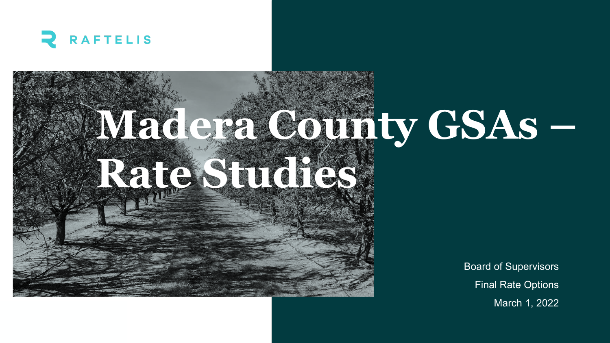

# **Madera County GSAs – Rate Studies**

Board of Supervisors Final Rate Options March 1, 2022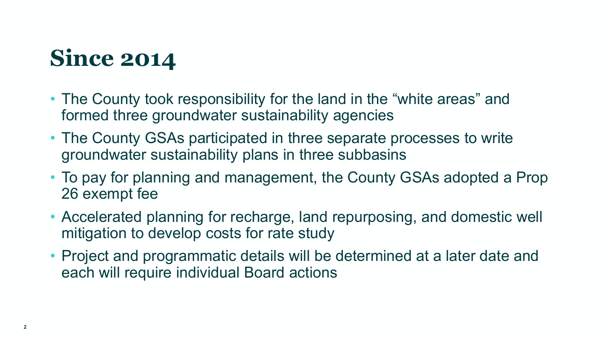# **Since 2014**

- The County took responsibility for the land in the "white areas" and formed three groundwater sustainability agencies
- The County GSAs participated in three separate processes to write groundwater sustainability plans in three subbasins
- To pay for planning and management, the County GSAs adopted a Prop 26 exempt fee
- Accelerated planning for recharge, land repurposing, and domestic well mitigation to develop costs for rate study
- Project and programmatic details will be determined at a later date and each will require individual Board actions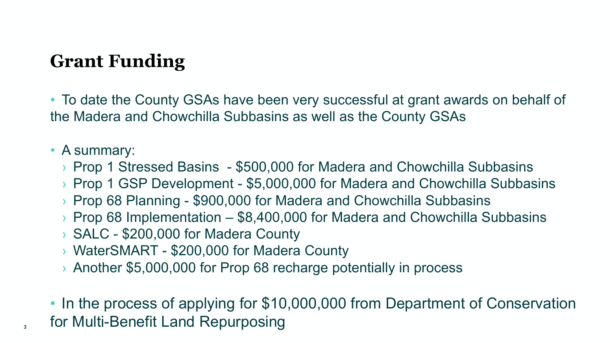## **Grant Funding**

• To date the County GSAs have been very successful at grant awards on behalf of the Madera and Chowchilla Subbasins as well as the County GSAs

#### • A summary:

- › Prop 1 Stressed Basins \$500,000 for Madera and Chowchilla Subbasins
- › Prop 1 GSP Development \$5,000,000 for Madera and Chowchilla Subbasins
- › Prop 68 Planning \$900,000 for Madera and Chowchilla Subbasins
- $\rightarrow$  Prop 68 Implementation \$8,400,000 for Madera and Chowchilla Subbasins
- › SALC \$200,000 for Madera County
- › WaterSMART \$200,000 for Madera County
- › Another \$5,000,000 for Prop 68 recharge potentially in process
- In the process of applying for \$10,000,000 from Department of Conservation **<sup>3</sup>** for Multi-Benefit Land Repurposing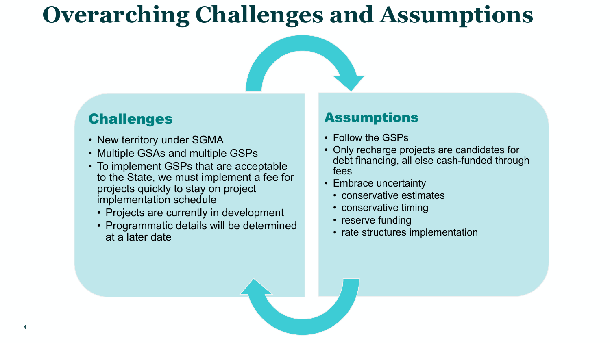# **Overarching Challenges and Assumptions**

#### Challenges

- New territory under SGMA
- Multiple GSAs and multiple GSPs
- To implement GSPs that are acceptable to the State, we must implement a fee for projects quickly to stay on project implementation schedule
	- Projects are currently in development
	- Programmatic details will be determined at a later date

#### Assumptions

- Follow the GSPs
- Only recharge projects are candidates for debt financing, all else cash-funded through fees
- Embrace uncertainty
	- conservative estimates
	- conservative timing
	- reserve funding
	- rate structures implementation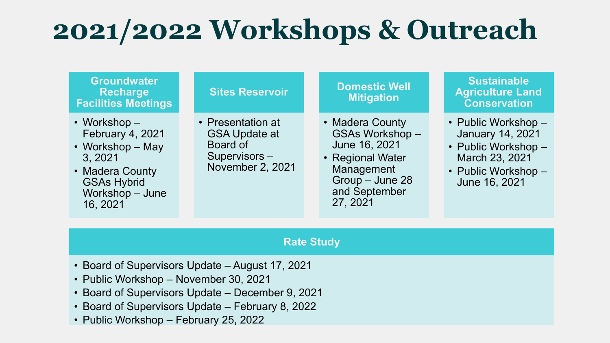# **2021/2022 Workshops & Outreach**

#### **Groundwater Recharge Facilities Meetings**

- Workshop February 4, 2021
- Workshop May 3, 2021
- Madera County GSAs Hybrid Workshop – June 16, 2021

#### **Sites Reservoir**

• Presentation at GSA Update at Board of Supervisors – November 2, 2021

#### **Domestic Well Mitigation**

- Madera County GSAs Workshop – June 16, 2021
- Regional Water Management Group – June 28 and September 27, 2021

#### **Sustainable Agriculture Land Conservation**

- Public Workshop January 14, 2021
- Public Workshop March 23, 2021
- Public Workshop June 16, 2021

#### **Rate Study**

- Board of Supervisors Update August 17, 2021
- Public Workshop November 30, 2021
- Board of Supervisors Update December 9, 2021
- Board of Supervisors Update February 8, 2022
- Public Workshop February 25, 2022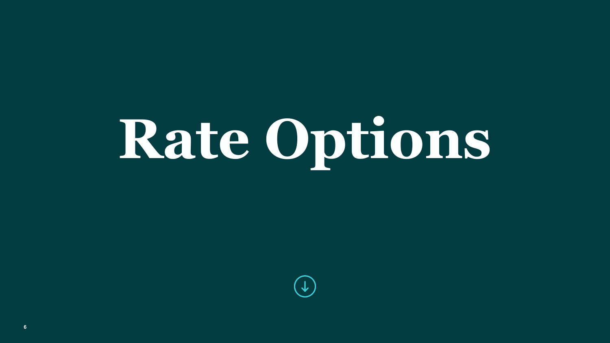# **Rate Options**

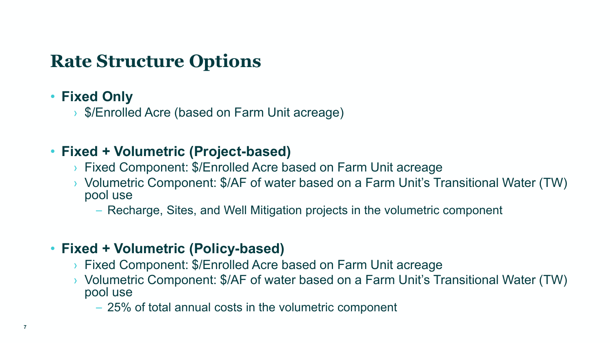### **Rate Structure Options**

#### • **Fixed Only**

› \$/Enrolled Acre (based on Farm Unit acreage)

#### • **Fixed + Volumetric (Project-based)**

- › Fixed Component: \$/Enrolled Acre based on Farm Unit acreage
- › Volumetric Component: \$/AF of water based on a Farm Unit's Transitional Water (TW) pool use
	- Recharge, Sites, and Well Mitigation projects in the volumetric component

#### • **Fixed + Volumetric (Policy-based)**

- › Fixed Component: \$/Enrolled Acre based on Farm Unit acreage
- › Volumetric Component: \$/AF of water based on a Farm Unit's Transitional Water (TW) pool use
	- 25% of total annual costs in the volumetric component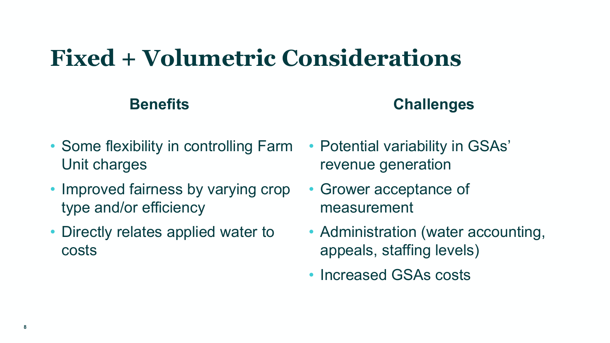# **Fixed + Volumetric Considerations**

#### **Benefits Challenges**

- Some flexibility in controlling Farm Unit charges
- Improved fairness by varying crop type and/or efficiency
- Directly relates applied water to costs
- Potential variability in GSAs' revenue generation
- Grower acceptance of measurement
- Administration (water accounting, appeals, staffing levels)
- Increased GSAs costs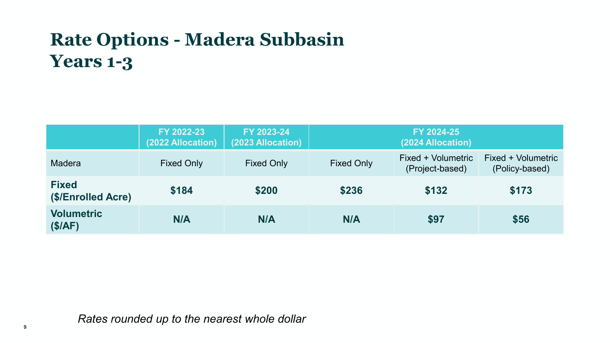# **Rate Options - Madera Subbasin Years 1-3**

|                                    | FY 2022-23<br>(2022 Allocation) | FY 2023-24<br>(2023 Allocation) |                   | FY 2024-25<br>(2024 Allocation)       |                                      |
|------------------------------------|---------------------------------|---------------------------------|-------------------|---------------------------------------|--------------------------------------|
| <b>Madera</b>                      | <b>Fixed Only</b>               | <b>Fixed Only</b>               | <b>Fixed Only</b> | Fixed + Volumetric<br>(Project-based) | Fixed + Volumetric<br>(Policy-based) |
| <b>Fixed</b><br>(\$/Enrolled Acre) | \$184                           | \$200                           | \$236             | \$132                                 | \$173                                |
| <b>Volumetric</b><br>(\$/AF)       | N/A                             | N/A                             | N/A               | \$97                                  | \$56                                 |

*Rates rounded up to the nearest whole dollar*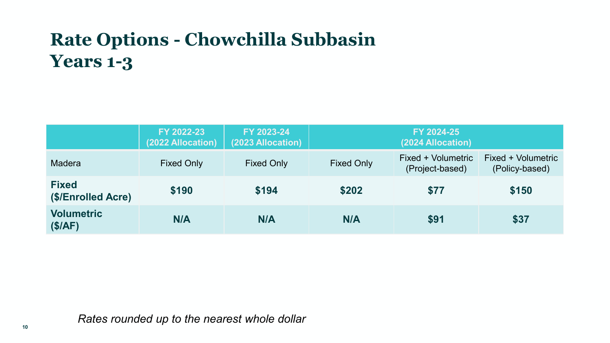# **Rate Options - Chowchilla Subbasin Years 1-3**

|                                    | FY 2022-23<br>(2022 Allocation) | FY 2023-24<br>(2023 Allocation) |                   | FY 2024-25<br>(2024 Allocation)       |                                      |
|------------------------------------|---------------------------------|---------------------------------|-------------------|---------------------------------------|--------------------------------------|
| Madera                             | <b>Fixed Only</b>               | <b>Fixed Only</b>               | <b>Fixed Only</b> | Fixed + Volumetric<br>(Project-based) | Fixed + Volumetric<br>(Policy-based) |
| <b>Fixed</b><br>(\$/Enrolled Acre) | \$190                           | \$194                           | \$202             | \$77                                  | \$150                                |
| <b>Volumetric</b><br>(\$/AF)       | N/A                             | N/A                             | N/A               | \$91                                  | \$37                                 |

*Rates rounded up to the nearest whole dollar*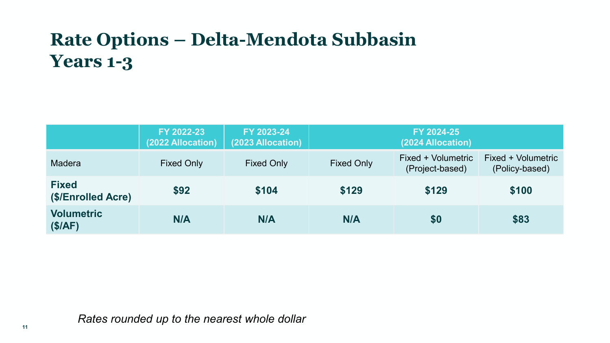# **Rate Options – Delta-Mendota Subbasin Years 1-3**

|                                    | FY 2022-23<br>(2022 Allocation) | FY 2023-24<br>(2023 Allocation) |                   | FY 2024-25<br>(2024 Allocation)       |                                      |
|------------------------------------|---------------------------------|---------------------------------|-------------------|---------------------------------------|--------------------------------------|
| <b>Madera</b>                      | <b>Fixed Only</b>               | <b>Fixed Only</b>               | <b>Fixed Only</b> | Fixed + Volumetric<br>(Project-based) | Fixed + Volumetric<br>(Policy-based) |
| <b>Fixed</b><br>(\$/Enrolled Acre) | \$92                            | \$104                           | \$129             | \$129                                 | \$100                                |
| <b>Volumetric</b><br>(\$/AF)       | N/A                             | N/A                             | N/A               | \$0                                   | \$83                                 |

*Rates rounded up to the nearest whole dollar*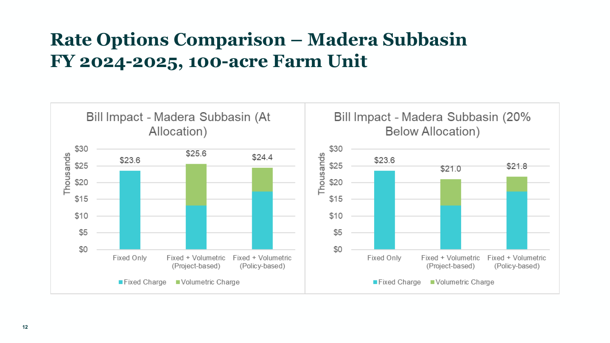## **Rate Options Comparison – Madera Subbasin FY 2024-2025, 100-acre Farm Unit**

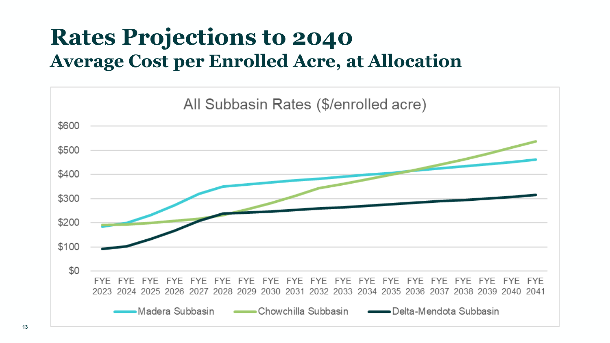# **Rates Projections to 2040 Average Cost per Enrolled Acre, at Allocation**

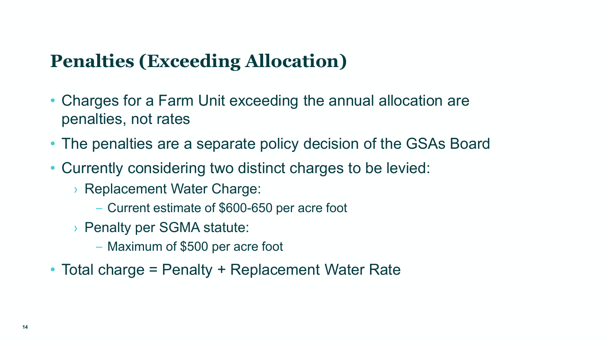#### **Penalties (Exceeding Allocation)**

- Charges for a Farm Unit exceeding the annual allocation are penalties, not rates
- The penalties are a separate policy decision of the GSAs Board
- Currently considering two distinct charges to be levied:
	- › Replacement Water Charge:
		- Current estimate of \$600-650 per acre foot
	- › Penalty per SGMA statute:
		- Maximum of \$500 per acre foot
- Total charge = Penalty + Replacement Water Rate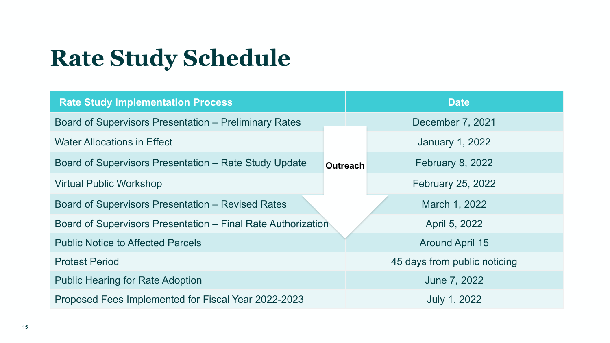# **Rate Study Schedule**

| <b>Rate Study Implementation Process</b>                     |  |                              | <b>Date</b>              |  |  |
|--------------------------------------------------------------|--|------------------------------|--------------------------|--|--|
| <b>Board of Supervisors Presentation – Preliminary Rates</b> |  | December 7, 2021             |                          |  |  |
| <b>Water Allocations in Effect</b>                           |  |                              | <b>January 1, 2022</b>   |  |  |
| Board of Supervisors Presentation – Rate Study Update        |  | <b>Outreach</b>              | <b>February 8, 2022</b>  |  |  |
| <b>Virtual Public Workshop</b>                               |  |                              | <b>February 25, 2022</b> |  |  |
| <b>Board of Supervisors Presentation - Revised Rates</b>     |  | March 1, 2022                |                          |  |  |
| Board of Supervisors Presentation – Final Rate Authorization |  |                              | April 5, 2022            |  |  |
| <b>Public Notice to Affected Parcels</b>                     |  |                              | <b>Around April 15</b>   |  |  |
| <b>Protest Period</b>                                        |  | 45 days from public noticing |                          |  |  |
| <b>Public Hearing for Rate Adoption</b>                      |  |                              | June 7, 2022             |  |  |
| Proposed Fees Implemented for Fiscal Year 2022-2023          |  |                              | <b>July 1, 2022</b>      |  |  |